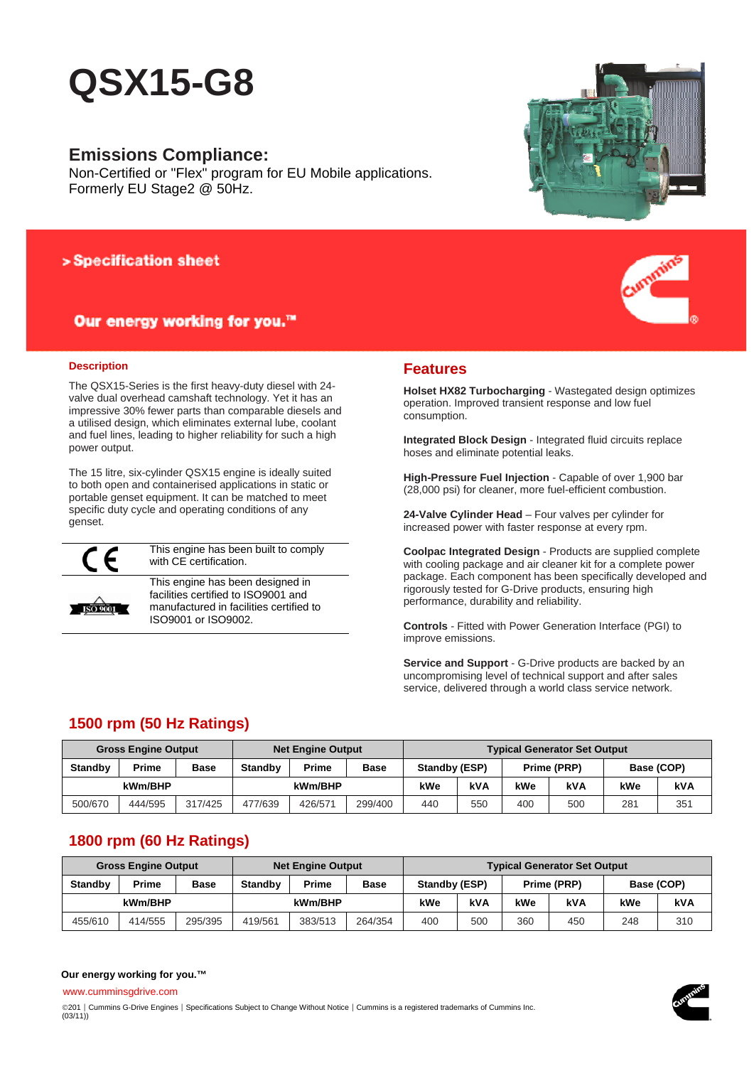# **QSX15-G8**

### **Emissions Compliance:**

Non-Certified or "Flex" program for EU Mobile applications. Formerly EU Stage2 @ 50Hz.

### > Specification sheet

### Our energy working for you.™

#### **Description**

The QSX15-Series is the first heavy-duty diesel with 24 valve dual overhead camshaft technology. Yet it has an impressive 30% fewer parts than comparable diesels and a utilised design, which eliminates external lube, coolant and fuel lines, leading to higher reliability for such a high power output.

The 15 litre, six-cylinder QSX15 engine is ideally suited to both open and containerised applications in static or portable genset equipment. It can be matched to meet specific duty cycle and operating conditions of any genset.



**ISO 9001** 

This engine has been built to comply with CE certification.

This engine has been designed in facilities certified to ISO9001 and manufactured in facilities certified to ISO9001 or ISO9002.





### **Features**

**Holset HX82 Turbocharging** - Wastegated design optimizes operation. Improved transient response and low fuel consumption.

**Integrated Block Design** - Integrated fluid circuits replace hoses and eliminate potential leaks.

**High-Pressure Fuel Injection** - Capable of over 1,900 bar (28,000 psi) for cleaner, more fuel-efficient combustion.

**24-Valve Cylinder Head** – Four valves per cylinder for increased power with faster response at every rpm.

**Coolpac Integrated Design** - Products are supplied complete with cooling package and air cleaner kit for a complete power package. Each component has been specifically developed and rigorously tested for G-Drive products, ensuring high performance, durability and reliability.

**Controls** - Fitted with Power Generation Interface (PGI) to improve emissions.

**Service and Support** - G-Drive products are backed by an uncompromising level of technical support and after sales service, delivered through a world class service network.

### **1500 rpm (50 Hz Ratings)**

| <b>Gross Engine Output</b>    |              |             | <b>Net Engine Output</b>               |         |     | <b>Typical Generator Set Output</b> |                              |     |     |            |     |
|-------------------------------|--------------|-------------|----------------------------------------|---------|-----|-------------------------------------|------------------------------|-----|-----|------------|-----|
| <b>Standby</b>                | <b>Prime</b> | <b>Base</b> | Prime<br><b>Standby</b><br><b>Base</b> |         |     |                                     | Standby (ESP)<br>Prime (PRP) |     |     | Base (COP) |     |
| kWm/BHP                       |              |             |                                        | kWm/BHP |     | kWe                                 | kVA                          | kWe | kVA | kWe        | kVA |
| 500/670<br>317/425<br>444/595 |              | 477/639     | 426/571                                | 299/400 | 440 | 550                                 | 400                          | 500 | 281 | 351        |     |

### **1800 rpm (60 Hz Ratings)**

| <b>Gross Engine Output</b> |         |             | <b>Net Engine Output</b>               |         |         | <b>Typical Generator Set Output</b> |             |     |     |            |     |  |
|----------------------------|---------|-------------|----------------------------------------|---------|---------|-------------------------------------|-------------|-----|-----|------------|-----|--|
| <b>Standby</b>             | Prime   | <b>Base</b> | Prime<br><b>Standby</b><br><b>Base</b> |         |         | Standby (ESP)                       | Prime (PRP) |     |     | Base (COP) |     |  |
| kWm/BHP                    |         |             |                                        | kWm/BHP |         | kWe                                 | kVA         | kWe | kVA | kWe        | kVA |  |
| 455/610                    | 414/555 | 295/395     | 419/561                                | 383/513 | 264/354 | 400                                 | 500         | 360 | 450 | 248        | 310 |  |

#### **Our energy working for you.™**

www.cumminsgdrive.com

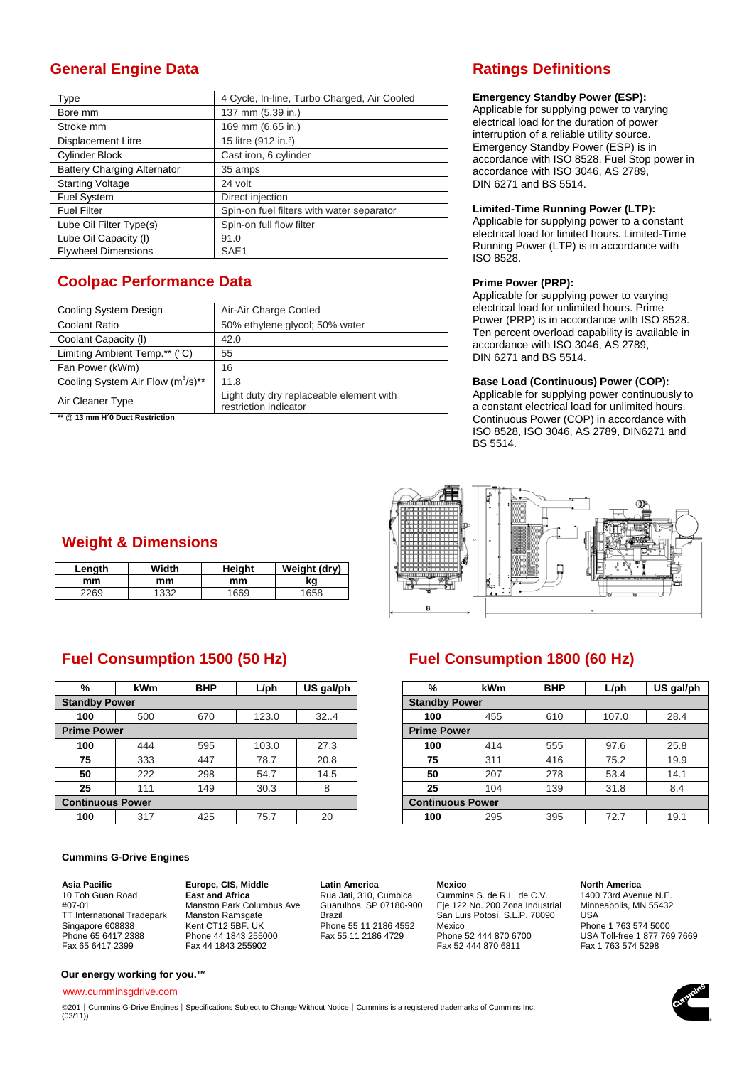### **General Engine Data Ratings Definitions**

| Type                               | 4 Cycle, In-line, Turbo Charged, Air Cooled |  |  |  |  |  |
|------------------------------------|---------------------------------------------|--|--|--|--|--|
| Bore mm                            | 137 mm (5.39 in.)                           |  |  |  |  |  |
| Stroke mm                          | 169 mm (6.65 in.)                           |  |  |  |  |  |
| <b>Displacement Litre</b>          | 15 litre (912 in. <sup>3</sup> )            |  |  |  |  |  |
| Cylinder Block                     | Cast iron, 6 cylinder                       |  |  |  |  |  |
| <b>Battery Charging Alternator</b> | 35 amps                                     |  |  |  |  |  |
| <b>Starting Voltage</b>            | 24 volt                                     |  |  |  |  |  |
| <b>Fuel System</b>                 | Direct injection                            |  |  |  |  |  |
| <b>Fuel Filter</b>                 | Spin-on fuel filters with water separator   |  |  |  |  |  |
| Lube Oil Filter Type(s)            | Spin-on full flow filter                    |  |  |  |  |  |
| Lube Oil Capacity (I)              | 91.0                                        |  |  |  |  |  |
| <b>Flywheel Dimensions</b>         | SAE <sub>1</sub>                            |  |  |  |  |  |

## **Coolpac Performance Data**

| Cooling System Design                  | Air-Air Charge Cooled                                            |  |  |  |  |
|----------------------------------------|------------------------------------------------------------------|--|--|--|--|
| Coolant Ratio                          | 50% ethylene glycol; 50% water                                   |  |  |  |  |
| Coolant Capacity (I)                   | 42.0                                                             |  |  |  |  |
| Limiting Ambient Temp.** (°C)          | 55                                                               |  |  |  |  |
| Fan Power (kWm)                        | 16                                                               |  |  |  |  |
| Cooling System Air Flow $(m^3/s)^{**}$ | 11.8                                                             |  |  |  |  |
| Air Cleaner Type<br>$\sim$             | Light duty dry replaceable element with<br>restriction indicator |  |  |  |  |

**\*\* @ 13 mm H2 0 Duct Restriction** 

#### **Emergency Standby Power (ESP):**

Applicable for supplying power to varying electrical load for the duration of power interruption of a reliable utility source. Emergency Standby Power (ESP) is in accordance with ISO 8528. Fuel Stop power in accordance with ISO 3046, AS 2789, DIN 6271 and BS 5514.

#### **Limited-Time Running Power (LTP):**

Applicable for supplying power to a constant electrical load for limited hours. Limited-Time Running Power (LTP) is in accordance with ISO 8528.

#### **Prime Power (PRP):**

Applicable for supplying power to varying electrical load for unlimited hours. Prime Power (PRP) is in accordance with ISO 8528. Ten percent overload capability is available in accordance with ISO 3046, AS 2789, DIN 6271 and BS 5514.

#### **Base Load (Continuous) Power (COP):**

Applicable for supplying power continuously to a constant electrical load for unlimited hours. Continuous Power (COP) in accordance with ISO 8528, ISO 3046, AS 2789, DIN6271 and BS 5514.



## **Weight & Dimensions**

| Lenath | Width | Heiaht | Weight (dry) |
|--------|-------|--------|--------------|
| mm     | mm    | mm     | kg           |
| 2269   | 332   | 1669   | 1658         |

### **Fuel Consumption 1500 (50 Hz) Fuel Consumption 1800 (60 Hz)**

| %                       | <b>kWm</b> | <b>BHP</b> | $L$ /ph | US gal/ph               | %   | <b>kWm</b> | <b>BHP</b> | $L$ /ph | US gal/ph |
|-------------------------|------------|------------|---------|-------------------------|-----|------------|------------|---------|-----------|
| <b>Standby Power</b>    |            |            |         | <b>Standby Power</b>    |     |            |            |         |           |
| 100                     | 500        | 670        | 123.0   | 32.4                    | 100 | 455        | 610        | 107.0   | 28.4      |
| <b>Prime Power</b>      |            |            |         | <b>Prime Power</b>      |     |            |            |         |           |
| 100                     | 444        | 595        | 103.0   | 27.3                    | 100 | 414        | 555        | 97.6    | 25.8      |
| 75                      | 333        | 447        | 78.7    | 20.8                    | 75  | 311        | 416        | 75.2    | 19.9      |
| 50                      | 222        | 298        | 54.7    | 14.5                    | 50  | 207        | 278        | 53.4    | 14.1      |
| 25                      | 111        | 149        | 30.3    | 8                       | 25  | 104        | 139        | 31.8    | 8.4       |
| <b>Continuous Power</b> |            |            |         | <b>Continuous Power</b> |     |            |            |         |           |
| 100                     | 317        | 425        | 75.7    | 20                      | 100 | 295        | 395        | 72.7    | 19.1      |

#### **Cummins G-Drive Engines**

**Asia Pacific**  10 Toh Guan Road #07-01 TT International Tradepark Singapore 608838 Phone 65 6417 2388 Fax 65 6417 2399

**Europe, CIS, Middle East and Africa**  Manston Park Columbus Ave Manston Ramsgate Kent CT12 5BF. UK Phone 44 1843 255000 Fax 44 1843 255902

**Latin America**  Rua Jati, 310, Cumbica

Guarulhos, SP 07180-900 Brazil Phone 55 11 2186 4552 Fax 55 11 2186 4729

**Mexico**  Cummins S. de R.L. de C.V. Eje 122 No. 200 Zona Industrial San Luis Potosí, S.L.P. 78090 Mexico Phone 52 444 870 6700 Fax 52 444 870 6811

#### **North America**

1400 73rd Avenue N.E. Minneapolis, MN 55432 USA Phone 1 763 574 5000 USA Toll-free 1 877 769 7669 Fax 1 763 574 5298

**Our energy working for you.™**

www.cumminsgdrive.com

©201 | Cummins G-Drive Engines | Specifications Subject to Change Without Notice | Cummins is a registered trademarks of Cummins Inc.  $(03/11)$